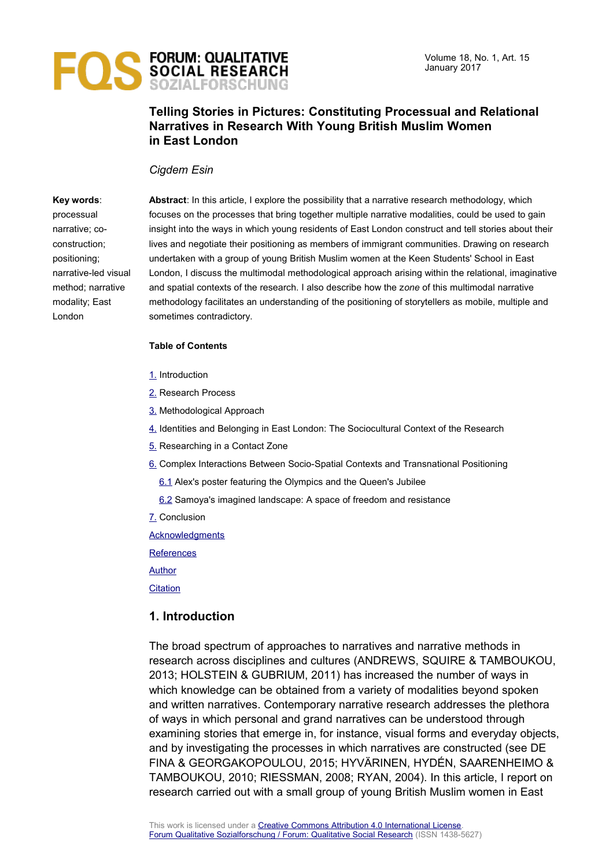

## **Telling Stories in Pictures: Constituting Processual and Relational Narratives in Research With Young British Muslim Women in East London**

#### *Cigdem Esin*

#### **Key words**:

processual narrative; coconstruction; positioning; narrative-led visual method; narrative modality; East London

**Abstract**: In this article, I explore the possibility that a narrative research methodology, which focuses on the processes that bring together multiple narrative modalities, could be used to gain insight into the ways in which young residents of East London construct and tell stories about their lives and negotiate their positioning as members of immigrant communities. Drawing on research undertaken with a group of young British Muslim women at the Keen Students' School in East London, I discuss the multimodal methodological approach arising within the relational, imaginative and spatial contexts of the research. I also describe how the z*one* of this multimodal narrative methodology facilitates an understanding of the positioning of storytellers as mobile, multiple and sometimes contradictory.

#### **Table of Contents**

- [1.](#page-0-0) Introduction
- [2.](#page-2-0) Research Process
- [3.](#page-6-0) Methodological Approach
- [4.](#page-7-0) Identities and Belonging in East London: The Sociocultural Context of the Research
- [5.](#page-10-0) Researching in a Contact Zone
- [6.](#page-14-1) Complex Interactions Between Socio-Spatial Contexts and Transnational Positioning
	- [6.1](#page-14-0) Alex's poster featuring the Olympics and the Queen's Jubilee
	- [6.2](#page-16-0) Samoya's imagined landscape: A space of freedom and resistance
- [7.](#page-19-0) Conclusion

**[Acknowledgments](#page-20-1)** 

**[References](#page-20-0)** 

[Author](#page-22-1)

**[Citation](#page-22-0)** 

## <span id="page-0-0"></span>**1. Introduction**

The broad spectrum of approaches to narratives and narrative methods in research across disciplines and cultures (ANDREWS, SQUIRE & TAMBOUKOU, 2013; HOLSTEIN & GUBRIUM, 2011) has increased the number of ways in which knowledge can be obtained from a variety of modalities beyond spoken and written narratives. Contemporary narrative research addresses the plethora of ways in which personal and grand narratives can be understood through examining stories that emerge in, for instance, visual forms and everyday objects, and by investigating the processes in which narratives are constructed (see DE FINA & GEORGAKOPOULOU, 2015; HYVÄRINEN, HYDÉN, SAARENHEIMO & TAMBOUKOU, 2010; RIESSMAN, 2008; RYAN, 2004). In this article, I report on research carried out with a small group of young British Muslim women in East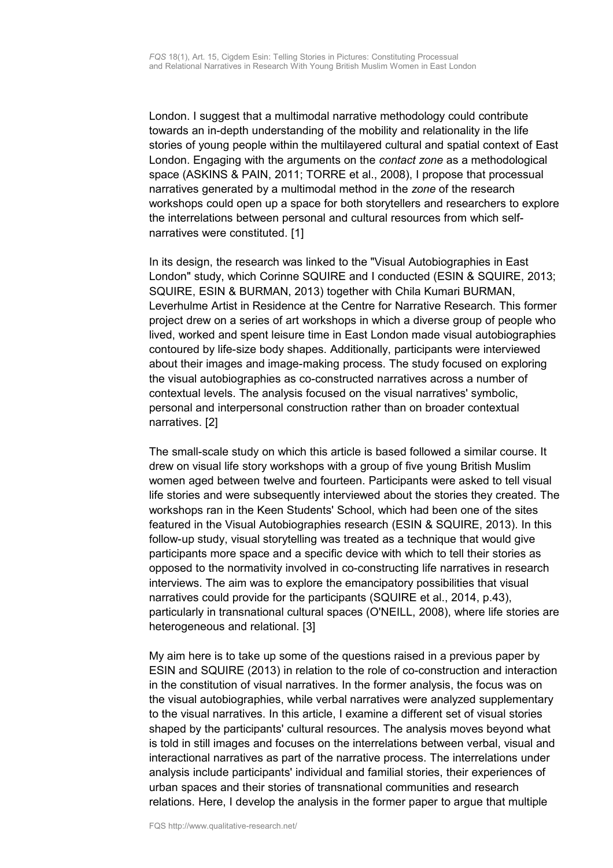London. I suggest that a multimodal narrative methodology could contribute towards an in-depth understanding of the mobility and relationality in the life stories of young people within the multilayered cultural and spatial context of East London. Engaging with the arguments on the *contact zone* as a methodological space (ASKINS & PAIN, 2011; TORRE et al., 2008), I propose that processual narratives generated by a multimodal method in the *zone* of the research workshops could open up a space for both storytellers and researchers to explore the interrelations between personal and cultural resources from which selfnarratives were constituted. [1]

In its design, the research was linked to the "Visual Autobiographies in East London" study, which Corinne SQUIRE and I conducted (ESIN & SQUIRE, 2013; SQUIRE, ESIN & BURMAN, 2013) together with Chila Kumari BURMAN, Leverhulme Artist in Residence at the Centre for Narrative Research. This former project drew on a series of art workshops in which a diverse group of people who lived, worked and spent leisure time in East London made visual autobiographies contoured by life-size body shapes. Additionally, participants were interviewed about their images and image-making process. The study focused on exploring the visual autobiographies as co-constructed narratives across a number of contextual levels. The analysis focused on the visual narratives' symbolic, personal and interpersonal construction rather than on broader contextual narratives. [2]

The small-scale study on which this article is based followed a similar course. It drew on visual life story workshops with a group of five young British Muslim women aged between twelve and fourteen. Participants were asked to tell visual life stories and were subsequently interviewed about the stories they created. The workshops ran in the Keen Students' School, which had been one of the sites featured in the Visual Autobiographies research (ESIN & SQUIRE, 2013). In this follow-up study, visual storytelling was treated as a technique that would give participants more space and a specific device with which to tell their stories as opposed to the normativity involved in co-constructing life narratives in research interviews. The aim was to explore the emancipatory possibilities that visual narratives could provide for the participants (SQUIRE et al., 2014, p.43), particularly in transnational cultural spaces (O'NEILL, 2008), where life stories are heterogeneous and relational. [3]

My aim here is to take up some of the questions raised in a previous paper by ESIN and SQUIRE (2013) in relation to the role of co-construction and interaction in the constitution of visual narratives. In the former analysis, the focus was on the visual autobiographies, while verbal narratives were analyzed supplementary to the visual narratives. In this article, I examine a different set of visual stories shaped by the participants' cultural resources. The analysis moves beyond what is told in still images and focuses on the interrelations between verbal, visual and interactional narratives as part of the narrative process. The interrelations under analysis include participants' individual and familial stories, their experiences of urban spaces and their stories of transnational communities and research relations. Here, I develop the analysis in the former paper to argue that multiple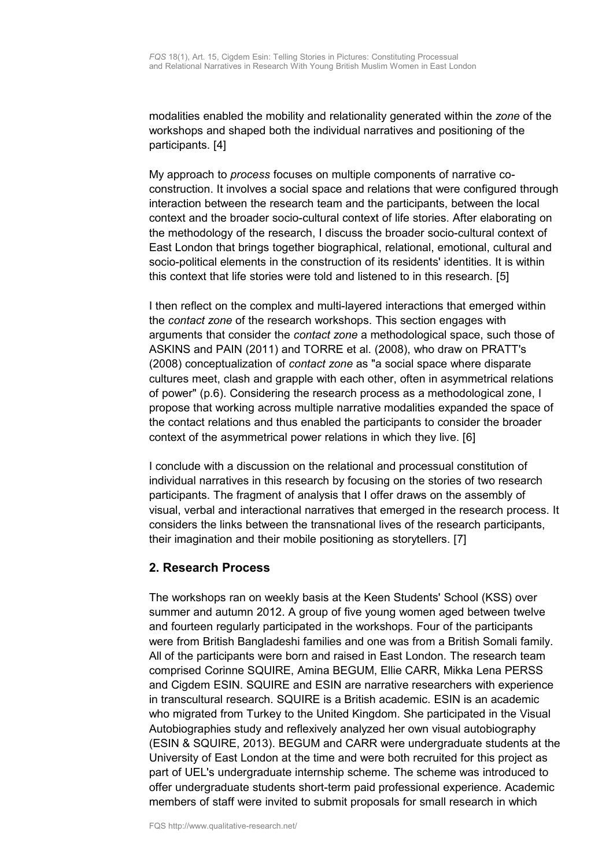modalities enabled the mobility and relationality generated within the *zone* of the workshops and shaped both the individual narratives and positioning of the participants. [4]

My approach to *process* focuses on multiple components of narrative coconstruction. It involves a social space and relations that were configured through interaction between the research team and the participants, between the local context and the broader socio-cultural context of life stories. After elaborating on the methodology of the research, I discuss the broader socio-cultural context of East London that brings together biographical, relational, emotional, cultural and socio-political elements in the construction of its residents' identities. It is within this context that life stories were told and listened to in this research. [5]

I then reflect on the complex and multi-layered interactions that emerged within the *contact zone* of the research workshops. This section engages with arguments that consider the *contact zone* a methodological space, such those of ASKINS and PAIN (2011) and TORRE et al. (2008), who draw on PRATT's (2008) conceptualization of *contact zone* as "a social space where disparate cultures meet, clash and grapple with each other, often in asymmetrical relations of power" (p.6). Considering the research process as a methodological zone, I propose that working across multiple narrative modalities expanded the space of the contact relations and thus enabled the participants to consider the broader context of the asymmetrical power relations in which they live. [6]

I conclude with a discussion on the relational and processual constitution of individual narratives in this research by focusing on the stories of two research participants. The fragment of analysis that I offer draws on the assembly of visual, verbal and interactional narratives that emerged in the research process. It considers the links between the transnational lives of the research participants, their imagination and their mobile positioning as storytellers. [7]

## <span id="page-2-0"></span>**2. Research Process**

The workshops ran on weekly basis at the Keen Students' School (KSS) over summer and autumn 2012. A group of five young women aged between twelve and fourteen regularly participated in the workshops. Four of the participants were from British Bangladeshi families and one was from a British Somali family. All of the participants were born and raised in East London. The research team comprised Corinne SQUIRE, Amina BEGUM, Ellie CARR, Mikka Lena PERSS and Cigdem ESIN. SQUIRE and ESIN are narrative researchers with experience in transcultural research. SQUIRE is a British academic. ESIN is an academic who migrated from Turkey to the United Kingdom. She participated in the Visual Autobiographies study and reflexively analyzed her own visual autobiography (ESIN & SQUIRE, 2013). BEGUM and CARR were undergraduate students at the University of East London at the time and were both recruited for this project as part of UEL's undergraduate internship scheme. The scheme was introduced to offer undergraduate students short-term paid professional experience. Academic members of staff were invited to submit proposals for small research in which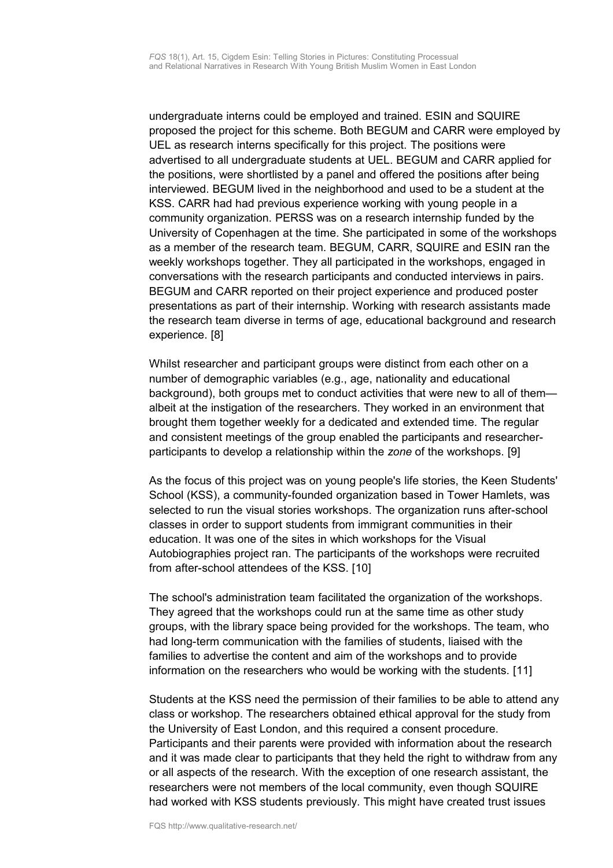undergraduate interns could be employed and trained. ESIN and SQUIRE proposed the project for this scheme. Both BEGUM and CARR were employed by UEL as research interns specifically for this project. The positions were advertised to all undergraduate students at UEL. BEGUM and CARR applied for the positions, were shortlisted by a panel and offered the positions after being interviewed. BEGUM lived in the neighborhood and used to be a student at the KSS. CARR had had previous experience working with young people in a community organization. PERSS was on a research internship funded by the University of Copenhagen at the time. She participated in some of the workshops as a member of the research team. BEGUM, CARR, SQUIRE and ESIN ran the weekly workshops together. They all participated in the workshops, engaged in conversations with the research participants and conducted interviews in pairs. BEGUM and CARR reported on their project experience and produced poster presentations as part of their internship. Working with research assistants made the research team diverse in terms of age, educational background and research experience. [8]

Whilst researcher and participant groups were distinct from each other on a number of demographic variables (e.g., age, nationality and educational background), both groups met to conduct activities that were new to all of them albeit at the instigation of the researchers. They worked in an environment that brought them together weekly for a dedicated and extended time. The regular and consistent meetings of the group enabled the participants and researcherparticipants to develop a relationship within the *zone* of the workshops. [9]

As the focus of this project was on young people's life stories, the Keen Students' School (KSS), a community-founded organization based in Tower Hamlets, was selected to run the visual stories workshops. The organization runs after-school classes in order to support students from immigrant communities in their education. It was one of the sites in which workshops for the Visual Autobiographies project ran. The participants of the workshops were recruited from after-school attendees of the KSS. [10]

The school's administration team facilitated the organization of the workshops. They agreed that the workshops could run at the same time as other study groups, with the library space being provided for the workshops. The team, who had long-term communication with the families of students, liaised with the families to advertise the content and aim of the workshops and to provide information on the researchers who would be working with the students. [11]

Students at the KSS need the permission of their families to be able to attend any class or workshop. The researchers obtained ethical approval for the study from the University of East London, and this required a consent procedure. Participants and their parents were provided with information about the research and it was made clear to participants that they held the right to withdraw from any or all aspects of the research. With the exception of one research assistant, the researchers were not members of the local community, even though SQUIRE had worked with KSS students previously. This might have created trust issues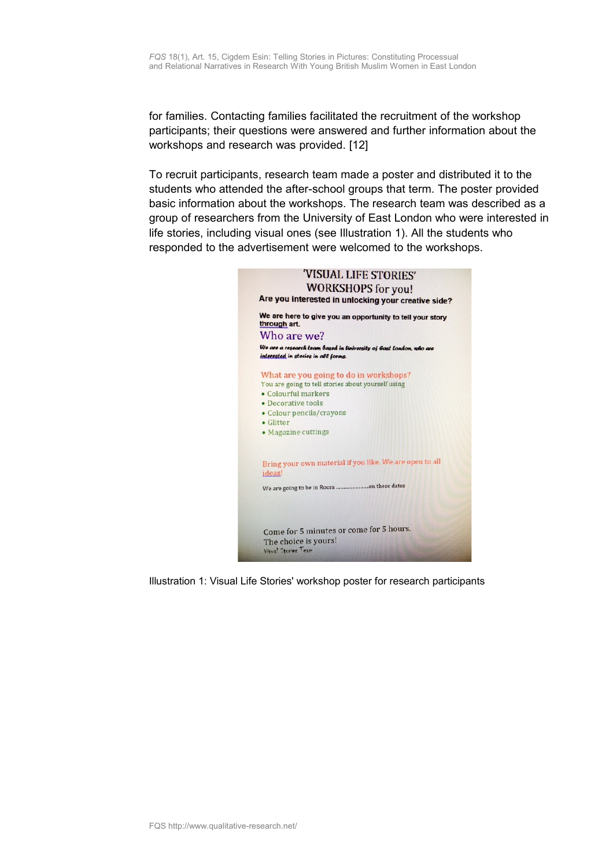for families. Contacting families facilitated the recruitment of the workshop participants; their questions were answered and further information about the workshops and research was provided. [12]

To recruit participants, research team made a poster and distributed it to the students who attended the after-school groups that term. The poster provided basic information about the workshops. The research team was described as a group of researchers from the University of East London who were interested in life stories, including visual ones (see Illustration 1). All the students who responded to the advertisement were welcomed to the workshops.



Illustration 1: Visual Life Stories' workshop poster for research participants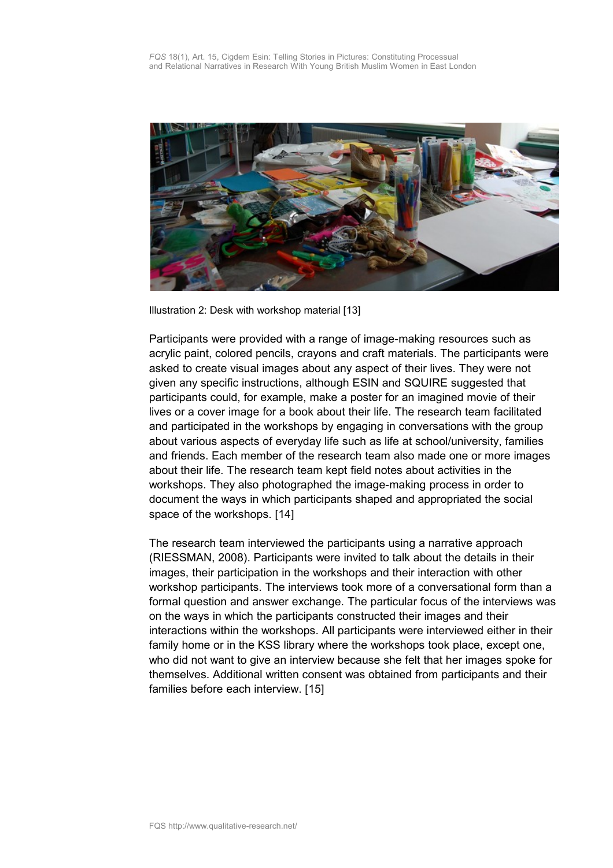

Illustration 2: Desk with workshop material [13]

Participants were provided with a range of image-making resources such as acrylic paint, colored pencils, crayons and craft materials. The participants were asked to create visual images about any aspect of their lives. They were not given any specific instructions, although ESIN and SQUIRE suggested that participants could, for example, make a poster for an imagined movie of their lives or a cover image for a book about their life. The research team facilitated and participated in the workshops by engaging in conversations with the group about various aspects of everyday life such as life at school/university, families and friends. Each member of the research team also made one or more images about their life. The research team kept field notes about activities in the workshops. They also photographed the image-making process in order to document the ways in which participants shaped and appropriated the social space of the workshops. [14]

The research team interviewed the participants using a narrative approach (RIESSMAN, 2008). Participants were invited to talk about the details in their images, their participation in the workshops and their interaction with other workshop participants. The interviews took more of a conversational form than a formal question and answer exchange. The particular focus of the interviews was on the ways in which the participants constructed their images and their interactions within the workshops. All participants were interviewed either in their family home or in the KSS library where the workshops took place, except one, who did not want to give an interview because she felt that her images spoke for themselves. Additional written consent was obtained from participants and their families before each interview. [15]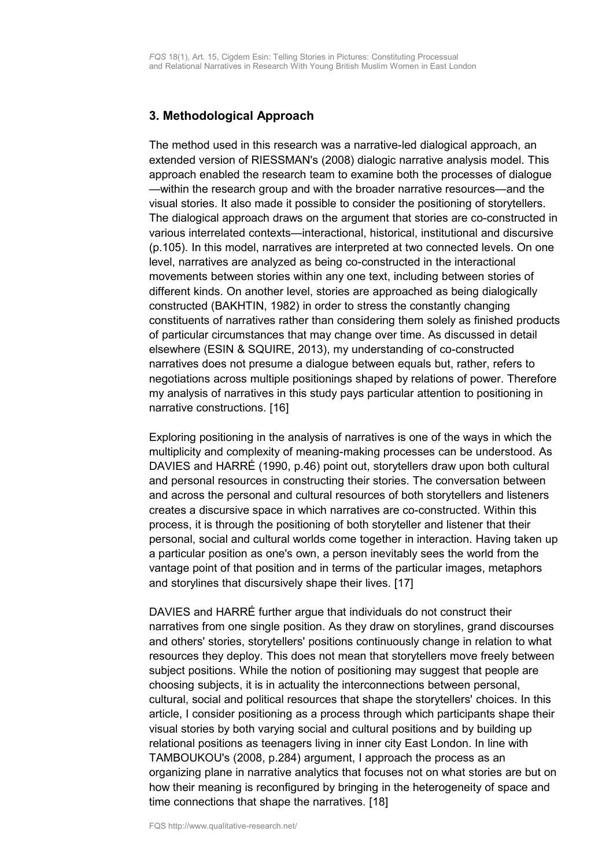# <span id="page-6-0"></span>**3. Methodological Approach**

The method used in this research was a narrative-led dialogical approach, an extended version of RIESSMAN's (2008) dialogic narrative analysis model. This approach enabled the research team to examine both the processes of dialogue —within the research group and with the broader narrative resources—and the visual stories. It also made it possible to consider the positioning of storytellers. The dialogical approach draws on the argument that stories are co-constructed in various interrelated contexts—interactional, historical, institutional and discursive (p.105). In this model, narratives are interpreted at two connected levels. On one level, narratives are analyzed as being co-constructed in the interactional movements between stories within any one text, including between stories of different kinds. On another level, stories are approached as being dialogically constructed (BAKHTIN, 1982) in order to stress the constantly changing constituents of narratives rather than considering them solely as finished products of particular circumstances that may change over time. As discussed in detail elsewhere (ESIN & SQUIRE, 2013), my understanding of co-constructed narratives does not presume a dialogue between equals but, rather, refers to negotiations across multiple positionings shaped by relations of power. Therefore my analysis of narratives in this study pays particular attention to positioning in narrative constructions. [16]

Exploring positioning in the analysis of narratives is one of the ways in which the multiplicity and complexity of meaning-making processes can be understood. As DAVIES and HARRÉ (1990, p.46) point out, storytellers draw upon both cultural and personal resources in constructing their stories. The conversation between and across the personal and cultural resources of both storytellers and listeners creates a discursive space in which narratives are co-constructed. Within this process, it is through the positioning of both storyteller and listener that their personal, social and cultural worlds come together in interaction. Having taken up a particular position as one's own, a person inevitably sees the world from the vantage point of that position and in terms of the particular images, metaphors and storylines that discursively shape their lives. [17]

DAVIES and HARRÉ further argue that individuals do not construct their narratives from one single position. As they draw on storylines, grand discourses and others' stories, storytellers' positions continuously change in relation to what resources they deploy. This does not mean that storytellers move freely between subject positions. While the notion of positioning may suggest that people are choosing subjects, it is in actuality the interconnections between personal, cultural, social and political resources that shape the storytellers' choices. In this article, I consider positioning as a process through which participants shape their visual stories by both varying social and cultural positions and by building up relational positions as teenagers living in inner city East London. In line with TAMBOUKOU's (2008, p.284) argument, I approach the process as an organizing plane in narrative analytics that focuses not on what stories are but on how their meaning is reconfigured by bringing in the heterogeneity of space and time connections that shape the narratives. [18]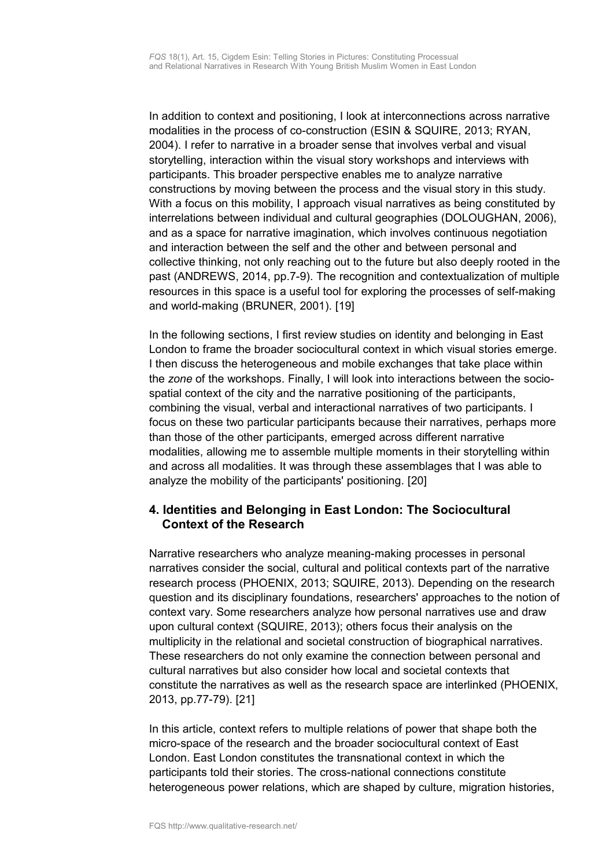In addition to context and positioning, I look at interconnections across narrative modalities in the process of co-construction (ESIN & SQUIRE, 2013; RYAN, 2004). I refer to narrative in a broader sense that involves verbal and visual storytelling, interaction within the visual story workshops and interviews with participants. This broader perspective enables me to analyze narrative constructions by moving between the process and the visual story in this study. With a focus on this mobility, I approach visual narratives as being constituted by interrelations between individual and cultural geographies (DOLOUGHAN, 2006), and as a space for narrative imagination, which involves continuous negotiation and interaction between the self and the other and between personal and collective thinking, not only reaching out to the future but also deeply rooted in the past (ANDREWS, 2014, pp.7-9). The recognition and contextualization of multiple resources in this space is a useful tool for exploring the processes of self-making and world-making (BRUNER, 2001). [19]

In the following sections, I first review studies on identity and belonging in East London to frame the broader sociocultural context in which visual stories emerge. I then discuss the heterogeneous and mobile exchanges that take place within the *zone* of the workshops. Finally, I will look into interactions between the sociospatial context of the city and the narrative positioning of the participants, combining the visual, verbal and interactional narratives of two participants. I focus on these two particular participants because their narratives, perhaps more than those of the other participants, emerged across different narrative modalities, allowing me to assemble multiple moments in their storytelling within and across all modalities. It was through these assemblages that I was able to analyze the mobility of the participants' positioning. [20]

## <span id="page-7-0"></span>**4. Identities and Belonging in East London: The Sociocultural Context of the Research**

Narrative researchers who analyze meaning-making processes in personal narratives consider the social, cultural and political contexts part of the narrative research process (PHOENIX, 2013; SQUIRE, 2013). Depending on the research question and its disciplinary foundations, researchers' approaches to the notion of context vary. Some researchers analyze how personal narratives use and draw upon cultural context (SQUIRE, 2013); others focus their analysis on the multiplicity in the relational and societal construction of biographical narratives. These researchers do not only examine the connection between personal and cultural narratives but also consider how local and societal contexts that constitute the narratives as well as the research space are interlinked (PHOENIX, 2013, pp.77-79). [21]

In this article, context refers to multiple relations of power that shape both the micro-space of the research and the broader sociocultural context of East London. East London constitutes the transnational context in which the participants told their stories. The cross-national connections constitute heterogeneous power relations, which are shaped by culture, migration histories,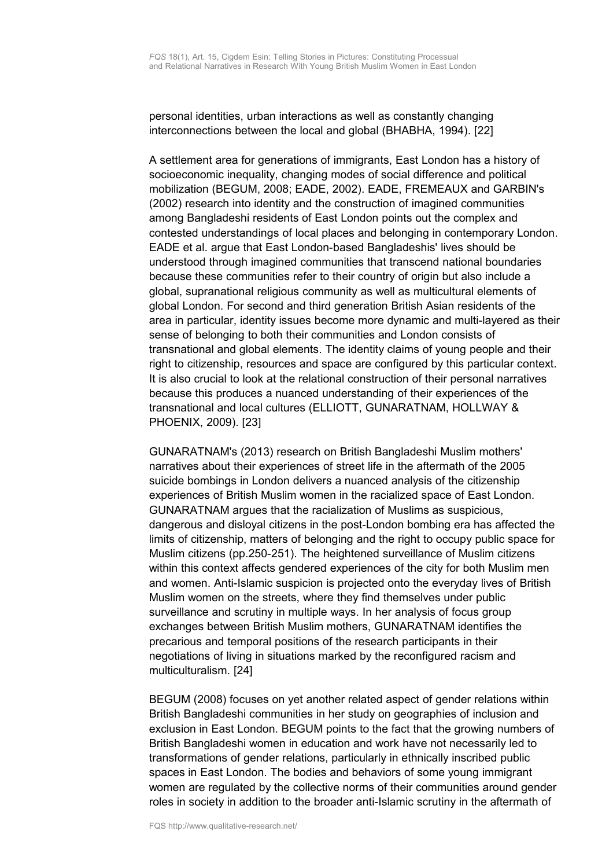personal identities, urban interactions as well as constantly changing interconnections between the local and global (BHABHA, 1994). [22]

A settlement area for generations of immigrants, East London has a history of socioeconomic inequality, changing modes of social difference and political mobilization (BEGUM, 2008; EADE, 2002). EADE, FREMEAUX and GARBIN's (2002) research into identity and the construction of imagined communities among Bangladeshi residents of East London points out the complex and contested understandings of local places and belonging in contemporary London. EADE et al. argue that East London-based Bangladeshis' lives should be understood through imagined communities that transcend national boundaries because these communities refer to their country of origin but also include a global, supranational religious community as well as multicultural elements of global London. For second and third generation British Asian residents of the area in particular, identity issues become more dynamic and multi-layered as their sense of belonging to both their communities and London consists of transnational and global elements. The identity claims of young people and their right to citizenship, resources and space are configured by this particular context. It is also crucial to look at the relational construction of their personal narratives because this produces a nuanced understanding of their experiences of the transnational and local cultures (ELLIOTT, GUNARATNAM, HOLLWAY & PHOENIX, 2009). [23]

GUNARATNAM's (2013) research on British Bangladeshi Muslim mothers' narratives about their experiences of street life in the aftermath of the 2005 suicide bombings in London delivers a nuanced analysis of the citizenship experiences of British Muslim women in the racialized space of East London. GUNARATNAM argues that the racialization of Muslims as suspicious, dangerous and disloyal citizens in the post-London bombing era has affected the limits of citizenship, matters of belonging and the right to occupy public space for Muslim citizens (pp.250-251). The heightened surveillance of Muslim citizens within this context affects gendered experiences of the city for both Muslim men and women. Anti-Islamic suspicion is projected onto the everyday lives of British Muslim women on the streets, where they find themselves under public surveillance and scrutiny in multiple ways. In her analysis of focus group exchanges between British Muslim mothers, GUNARATNAM identifies the precarious and temporal positions of the research participants in their negotiations of living in situations marked by the reconfigured racism and multiculturalism. [24]

BEGUM (2008) focuses on yet another related aspect of gender relations within British Bangladeshi communities in her study on geographies of inclusion and exclusion in East London. BEGUM points to the fact that the growing numbers of British Bangladeshi women in education and work have not necessarily led to transformations of gender relations, particularly in ethnically inscribed public spaces in East London. The bodies and behaviors of some young immigrant women are regulated by the collective norms of their communities around gender roles in society in addition to the broader anti-Islamic scrutiny in the aftermath of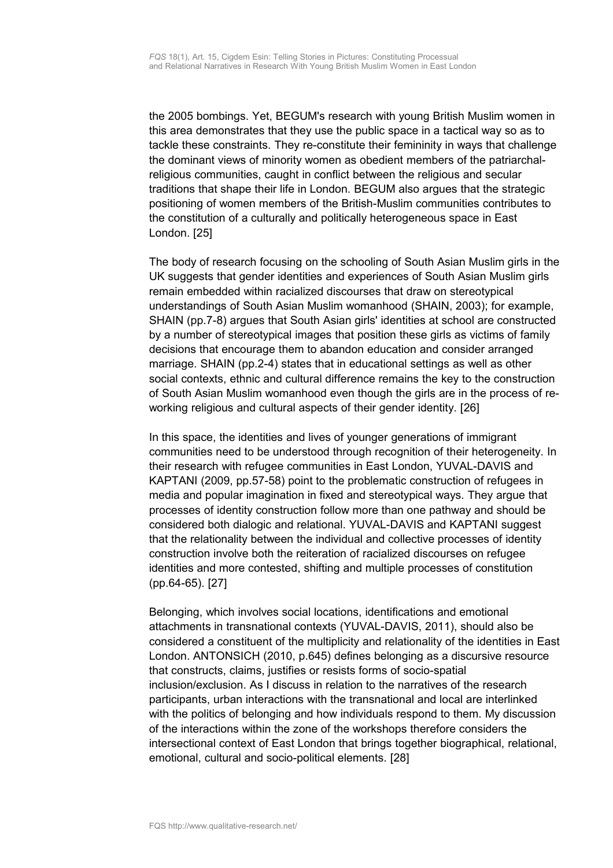the 2005 bombings. Yet, BEGUM's research with young British Muslim women in this area demonstrates that they use the public space in a tactical way so as to tackle these constraints. They re-constitute their femininity in ways that challenge the dominant views of minority women as obedient members of the patriarchalreligious communities, caught in conflict between the religious and secular traditions that shape their life in London. BEGUM also argues that the strategic positioning of women members of the British-Muslim communities contributes to the constitution of a culturally and politically heterogeneous space in East London. [25]

The body of research focusing on the schooling of South Asian Muslim girls in the UK suggests that gender identities and experiences of South Asian Muslim girls remain embedded within racialized discourses that draw on stereotypical understandings of South Asian Muslim womanhood (SHAIN, 2003); for example, SHAIN (pp.7-8) argues that South Asian girls' identities at school are constructed by a number of stereotypical images that position these girls as victims of family decisions that encourage them to abandon education and consider arranged marriage. SHAIN (pp.2-4) states that in educational settings as well as other social contexts, ethnic and cultural difference remains the key to the construction of South Asian Muslim womanhood even though the girls are in the process of reworking religious and cultural aspects of their gender identity. [26]

In this space, the identities and lives of younger generations of immigrant communities need to be understood through recognition of their heterogeneity. In their research with refugee communities in East London, YUVAL-DAVIS and KAPTANI (2009, pp.57-58) point to the problematic construction of refugees in media and popular imagination in fixed and stereotypical ways. They argue that processes of identity construction follow more than one pathway and should be considered both dialogic and relational. YUVAL-DAVIS and KAPTANI suggest that the relationality between the individual and collective processes of identity construction involve both the reiteration of racialized discourses on refugee identities and more contested, shifting and multiple processes of constitution (pp.64-65). [27]

Belonging, which involves social locations, identifications and emotional attachments in transnational contexts (YUVAL-DAVIS, 2011), should also be considered a constituent of the multiplicity and relationality of the identities in East London. ANTONSICH (2010, p.645) defines belonging as a discursive resource that constructs, claims, justifies or resists forms of socio-spatial inclusion/exclusion. As I discuss in relation to the narratives of the research participants, urban interactions with the transnational and local are interlinked with the politics of belonging and how individuals respond to them. My discussion of the interactions within the zone of the workshops therefore considers the intersectional context of East London that brings together biographical, relational, emotional, cultural and socio-political elements. [28]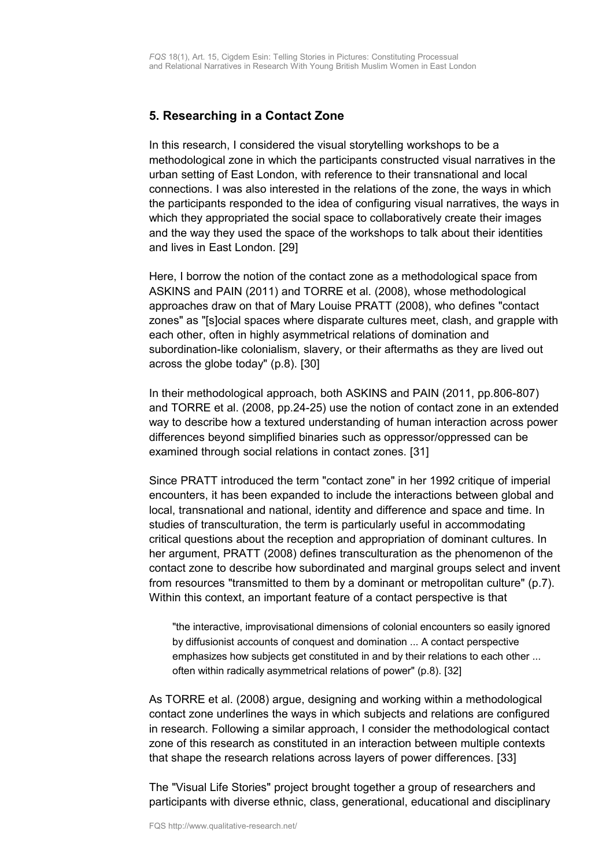# <span id="page-10-0"></span>**5. Researching in a Contact Zone**

In this research, I considered the visual storytelling workshops to be a methodological zone in which the participants constructed visual narratives in the urban setting of East London, with reference to their transnational and local connections. I was also interested in the relations of the zone, the ways in which the participants responded to the idea of configuring visual narratives, the ways in which they appropriated the social space to collaboratively create their images and the way they used the space of the workshops to talk about their identities and lives in East London. [29]

Here, I borrow the notion of the contact zone as a methodological space from ASKINS and PAIN (2011) and TORRE et al. (2008), whose methodological approaches draw on that of Mary Louise PRATT (2008), who defines "contact zones" as "[s]ocial spaces where disparate cultures meet, clash, and grapple with each other, often in highly asymmetrical relations of domination and subordination-like colonialism, slavery, or their aftermaths as they are lived out across the globe today" (p.8). [30]

In their methodological approach, both ASKINS and PAIN (2011, pp.806-807) and TORRE et al. (2008, pp.24-25) use the notion of contact zone in an extended way to describe how a textured understanding of human interaction across power differences beyond simplified binaries such as oppressor/oppressed can be examined through social relations in contact zones. [31]

Since PRATT introduced the term "contact zone" in her 1992 critique of imperial encounters, it has been expanded to include the interactions between global and local, transnational and national, identity and difference and space and time. In studies of transculturation, the term is particularly useful in accommodating critical questions about the reception and appropriation of dominant cultures. In her argument, PRATT (2008) defines transculturation as the phenomenon of the contact zone to describe how subordinated and marginal groups select and invent from resources "transmitted to them by a dominant or metropolitan culture" (p.7). Within this context, an important feature of a contact perspective is that

"the interactive, improvisational dimensions of colonial encounters so easily ignored by diffusionist accounts of conquest and domination ... A contact perspective emphasizes how subjects get constituted in and by their relations to each other ... often within radically asymmetrical relations of power" (p.8). [32]

As TORRE et al. (2008) argue, designing and working within a methodological contact zone underlines the ways in which subjects and relations are configured in research. Following a similar approach, I consider the methodological contact zone of this research as constituted in an interaction between multiple contexts that shape the research relations across layers of power differences. [33]

The "Visual Life Stories" project brought together a group of researchers and participants with diverse ethnic, class, generational, educational and disciplinary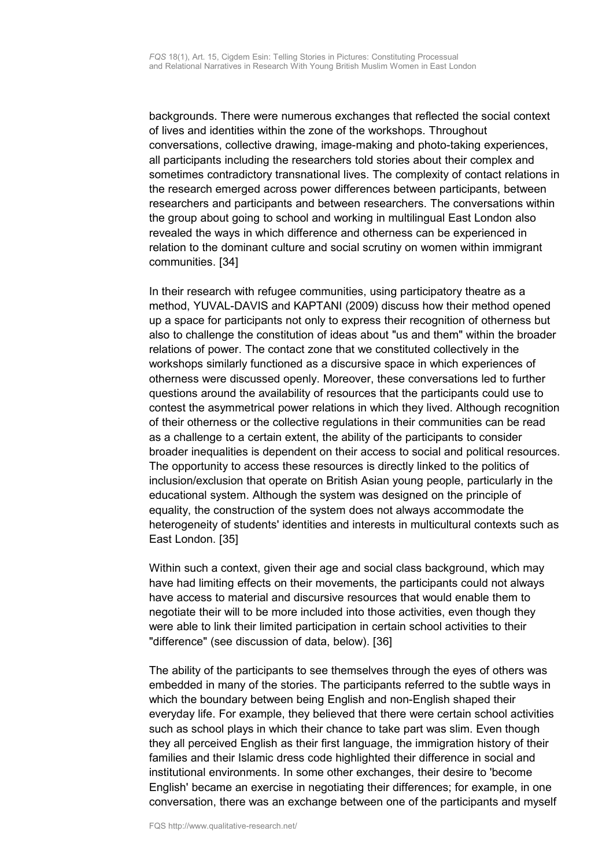backgrounds. There were numerous exchanges that reflected the social context of lives and identities within the zone of the workshops. Throughout conversations, collective drawing, image-making and photo-taking experiences, all participants including the researchers told stories about their complex and sometimes contradictory transnational lives. The complexity of contact relations in the research emerged across power differences between participants, between researchers and participants and between researchers. The conversations within the group about going to school and working in multilingual East London also revealed the ways in which difference and otherness can be experienced in relation to the dominant culture and social scrutiny on women within immigrant communities. [34]

In their research with refugee communities, using participatory theatre as a method, YUVAL-DAVIS and KAPTANI (2009) discuss how their method opened up a space for participants not only to express their recognition of otherness but also to challenge the constitution of ideas about "us and them" within the broader relations of power. The contact zone that we constituted collectively in the workshops similarly functioned as a discursive space in which experiences of otherness were discussed openly. Moreover, these conversations led to further questions around the availability of resources that the participants could use to contest the asymmetrical power relations in which they lived. Although recognition of their otherness or the collective regulations in their communities can be read as a challenge to a certain extent, the ability of the participants to consider broader inequalities is dependent on their access to social and political resources. The opportunity to access these resources is directly linked to the politics of inclusion/exclusion that operate on British Asian young people, particularly in the educational system. Although the system was designed on the principle of equality, the construction of the system does not always accommodate the heterogeneity of students' identities and interests in multicultural contexts such as East London. [35]

Within such a context, given their age and social class background, which may have had limiting effects on their movements, the participants could not always have access to material and discursive resources that would enable them to negotiate their will to be more included into those activities, even though they were able to link their limited participation in certain school activities to their "difference" (see discussion of data, below). [36]

The ability of the participants to see themselves through the eyes of others was embedded in many of the stories. The participants referred to the subtle ways in which the boundary between being English and non-English shaped their everyday life. For example, they believed that there were certain school activities such as school plays in which their chance to take part was slim. Even though they all perceived English as their first language, the immigration history of their families and their Islamic dress code highlighted their difference in social and institutional environments. In some other exchanges, their desire to 'become English' became an exercise in negotiating their differences; for example, in one conversation, there was an exchange between one of the participants and myself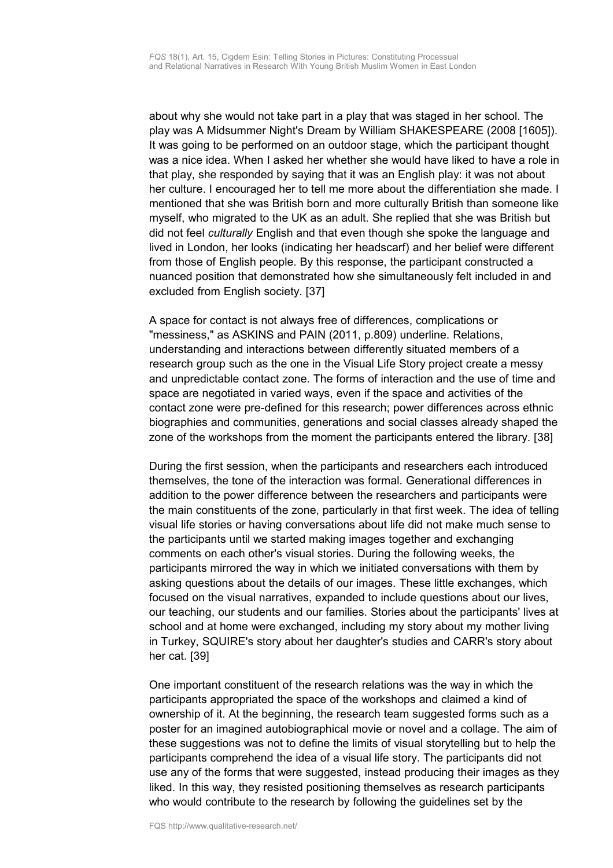about why she would not take part in a play that was staged in her school. The play was A Midsummer Night's Dream by William SHAKESPEARE (2008 [1605]). It was going to be performed on an outdoor stage, which the participant thought was a nice idea. When I asked her whether she would have liked to have a role in that play, she responded by saying that it was an English play: it was not about her culture. I encouraged her to tell me more about the differentiation she made. I mentioned that she was British born and more culturally British than someone like myself, who migrated to the UK as an adult. She replied that she was British but did not feel *culturally* English and that even though she spoke the language and lived in London, her looks (indicating her headscarf) and her belief were different from those of English people. By this response, the participant constructed a nuanced position that demonstrated how she simultaneously felt included in and excluded from English society. [37]

A space for contact is not always free of differences, complications or "messiness," as ASKINS and PAIN (2011, p.809) underline. Relations, understanding and interactions between differently situated members of a research group such as the one in the Visual Life Story project create a messy and unpredictable contact zone. The forms of interaction and the use of time and space are negotiated in varied ways, even if the space and activities of the contact zone were pre-defined for this research; power differences across ethnic biographies and communities, generations and social classes already shaped the zone of the workshops from the moment the participants entered the library. [38]

During the first session, when the participants and researchers each introduced themselves, the tone of the interaction was formal. Generational differences in addition to the power difference between the researchers and participants were the main constituents of the zone, particularly in that first week. The idea of telling visual life stories or having conversations about life did not make much sense to the participants until we started making images together and exchanging comments on each other's visual stories. During the following weeks, the participants mirrored the way in which we initiated conversations with them by asking questions about the details of our images. These little exchanges, which focused on the visual narratives, expanded to include questions about our lives, our teaching, our students and our families. Stories about the participants' lives at school and at home were exchanged, including my story about my mother living in Turkey, SQUIRE's story about her daughter's studies and CARR's story about her cat. [39]

One important constituent of the research relations was the way in which the participants appropriated the space of the workshops and claimed a kind of ownership of it. At the beginning, the research team suggested forms such as a poster for an imagined autobiographical movie or novel and a collage. The aim of these suggestions was not to define the limits of visual storytelling but to help the participants comprehend the idea of a visual life story. The participants did not use any of the forms that were suggested, instead producing their images as they liked. In this way, they resisted positioning themselves as research participants who would contribute to the research by following the guidelines set by the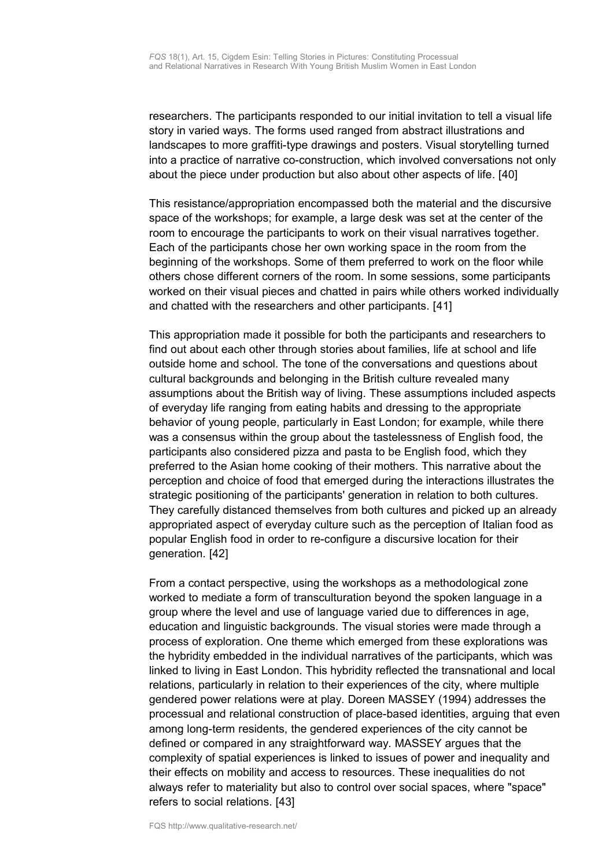researchers. The participants responded to our initial invitation to tell a visual life story in varied ways. The forms used ranged from abstract illustrations and landscapes to more graffiti-type drawings and posters. Visual storytelling turned into a practice of narrative co-construction, which involved conversations not only about the piece under production but also about other aspects of life. [40]

This resistance/appropriation encompassed both the material and the discursive space of the workshops; for example, a large desk was set at the center of the room to encourage the participants to work on their visual narratives together. Each of the participants chose her own working space in the room from the beginning of the workshops. Some of them preferred to work on the floor while others chose different corners of the room. In some sessions, some participants worked on their visual pieces and chatted in pairs while others worked individually and chatted with the researchers and other participants. [41]

This appropriation made it possible for both the participants and researchers to find out about each other through stories about families, life at school and life outside home and school. The tone of the conversations and questions about cultural backgrounds and belonging in the British culture revealed many assumptions about the British way of living. These assumptions included aspects of everyday life ranging from eating habits and dressing to the appropriate behavior of young people, particularly in East London; for example, while there was a consensus within the group about the tastelessness of English food, the participants also considered pizza and pasta to be English food, which they preferred to the Asian home cooking of their mothers. This narrative about the perception and choice of food that emerged during the interactions illustrates the strategic positioning of the participants' generation in relation to both cultures. They carefully distanced themselves from both cultures and picked up an already appropriated aspect of everyday culture such as the perception of Italian food as popular English food in order to re-configure a discursive location for their generation. [42]

From a contact perspective, using the workshops as a methodological zone worked to mediate a form of transculturation beyond the spoken language in a group where the level and use of language varied due to differences in age, education and linguistic backgrounds. The visual stories were made through a process of exploration. One theme which emerged from these explorations was the hybridity embedded in the individual narratives of the participants, which was linked to living in East London. This hybridity reflected the transnational and local relations, particularly in relation to their experiences of the city, where multiple gendered power relations were at play. Doreen MASSEY (1994) addresses the processual and relational construction of place-based identities, arguing that even among long-term residents, the gendered experiences of the city cannot be defined or compared in any straightforward way. MASSEY argues that the complexity of spatial experiences is linked to issues of power and inequality and their effects on mobility and access to resources. These inequalities do not always refer to materiality but also to control over social spaces, where "space" refers to social relations. [43]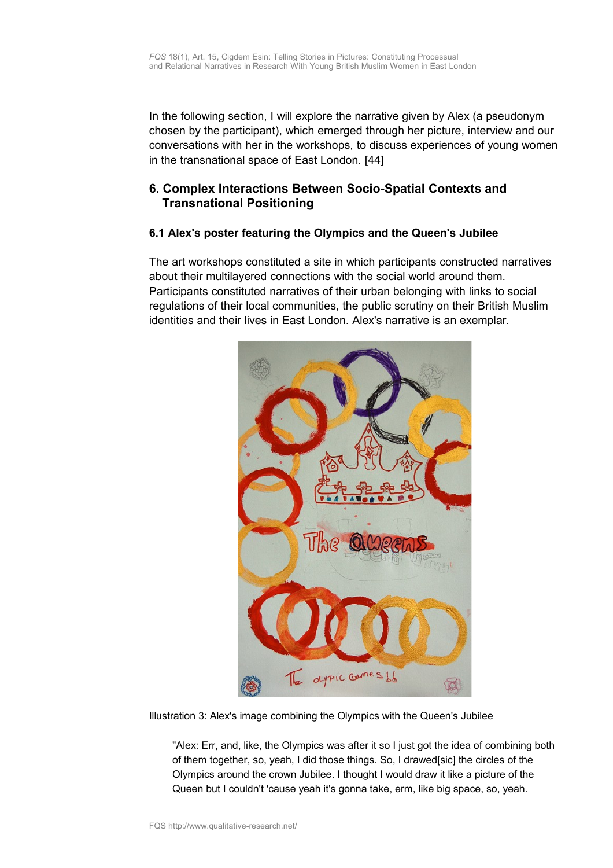In the following section, I will explore the narrative given by Alex (a pseudonym chosen by the participant), which emerged through her picture, interview and our conversations with her in the workshops, to discuss experiences of young women in the transnational space of East London. [44]

# <span id="page-14-1"></span>**6. Complex Interactions Between Socio-Spatial Contexts and Transnational Positioning**

## <span id="page-14-0"></span>**6.1 Alex's poster featuring the Olympics and the Queen's Jubilee**

The art workshops constituted a site in which participants constructed narratives about their multilayered connections with the social world around them. Participants constituted narratives of their urban belonging with links to social regulations of their local communities, the public scrutiny on their British Muslim identities and their lives in East London. Alex's narrative is an exemplar.



Illustration 3: Alex's image combining the Olympics with the Queen's Jubilee

"Alex: Err, and, like, the Olympics was after it so I just got the idea of combining both of them together, so, yeah, I did those things. So, I drawed[sic] the circles of the Olympics around the crown Jubilee. I thought I would draw it like a picture of the Queen but I couldn't 'cause yeah it's gonna take, erm, like big space, so, yeah.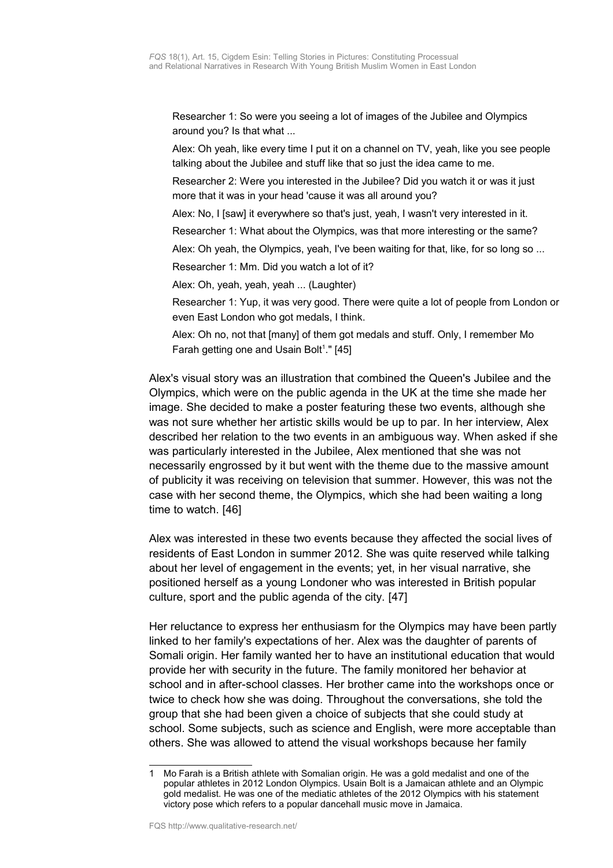Researcher 1: So were you seeing a lot of images of the Jubilee and Olympics around you? Is that what ...

Alex: Oh yeah, like every time I put it on a channel on TV, yeah, like you see people talking about the Jubilee and stuff like that so just the idea came to me.

Researcher 2: Were you interested in the Jubilee? Did you watch it or was it just more that it was in your head 'cause it was all around you?

Alex: No, I [saw] it everywhere so that's just, yeah, I wasn't very interested in it.

Researcher 1: What about the Olympics, was that more interesting or the same?

Alex: Oh yeah, the Olympics, yeah, I've been waiting for that, like, for so long so ...

Researcher 1: Mm. Did you watch a lot of it?

Alex: Oh, yeah, yeah, yeah ... (Laughter)

Researcher 1: Yup, it was very good. There were quite a lot of people from London or even East London who got medals, I think.

Alex: Oh no, not that [many] of them got medals and stuff. Only, I remember Mo Farah getting one and Usain Bolt<sup>[1](#page-15-0)</sup>." [45]

Alex's visual story was an illustration that combined the Queen's Jubilee and the Olympics, which were on the public agenda in the UK at the time she made her image. She decided to make a poster featuring these two events, although she was not sure whether her artistic skills would be up to par. In her interview, Alex described her relation to the two events in an ambiguous way. When asked if she was particularly interested in the Jubilee, Alex mentioned that she was not necessarily engrossed by it but went with the theme due to the massive amount of publicity it was receiving on television that summer. However, this was not the case with her second theme, the Olympics, which she had been waiting a long time to watch. [46]

Alex was interested in these two events because they affected the social lives of residents of East London in summer 2012. She was quite reserved while talking about her level of engagement in the events; yet, in her visual narrative, she positioned herself as a young Londoner who was interested in British popular culture, sport and the public agenda of the city. [47]

Her reluctance to express her enthusiasm for the Olympics may have been partly linked to her family's expectations of her. Alex was the daughter of parents of Somali origin. Her family wanted her to have an institutional education that would provide her with security in the future. The family monitored her behavior at school and in after-school classes. Her brother came into the workshops once or twice to check how she was doing. Throughout the conversations, she told the group that she had been given a choice of subjects that she could study at school. Some subjects, such as science and English, were more acceptable than others. She was allowed to attend the visual workshops because her family

<span id="page-15-0"></span><sup>1</sup> Mo Farah is a British athlete with Somalian origin. He was a gold medalist and one of the popular athletes in 2012 London Olympics. Usain Bolt is a Jamaican athlete and an Olympic gold medalist. He was one of the mediatic athletes of the 2012 Olympics with his statement victory pose which refers to a popular dancehall music move in Jamaica.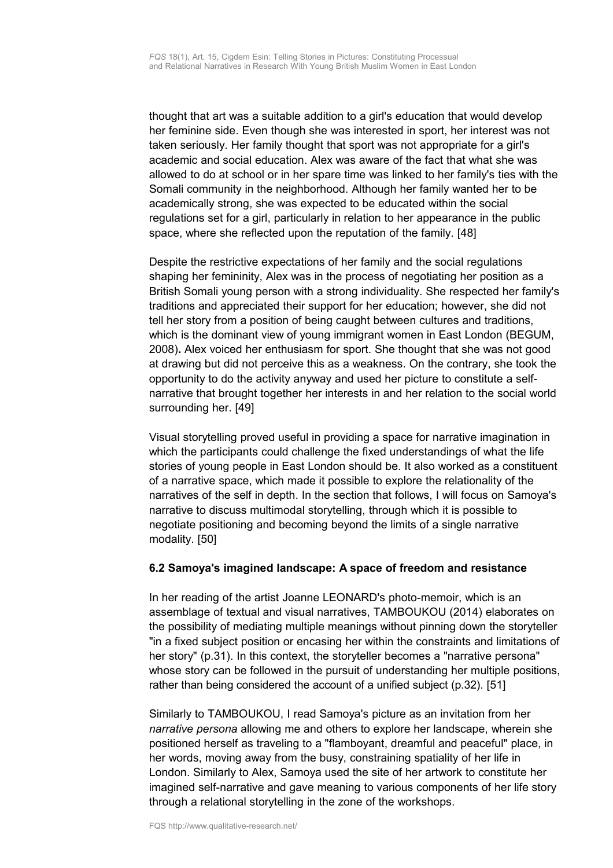thought that art was a suitable addition to a girl's education that would develop her feminine side. Even though she was interested in sport, her interest was not taken seriously. Her family thought that sport was not appropriate for a girl's academic and social education. Alex was aware of the fact that what she was allowed to do at school or in her spare time was linked to her family's ties with the Somali community in the neighborhood. Although her family wanted her to be academically strong, she was expected to be educated within the social regulations set for a girl, particularly in relation to her appearance in the public space, where she reflected upon the reputation of the family. [48]

Despite the restrictive expectations of her family and the social regulations shaping her femininity, Alex was in the process of negotiating her position as a British Somali young person with a strong individuality. She respected her family's traditions and appreciated their support for her education; however, she did not tell her story from a position of being caught between cultures and traditions, which is the dominant view of young immigrant women in East London (BEGUM, 2008)**.** Alex voiced her enthusiasm for sport. She thought that she was not good at drawing but did not perceive this as a weakness. On the contrary, she took the opportunity to do the activity anyway and used her picture to constitute a selfnarrative that brought together her interests in and her relation to the social world surrounding her. [49]

Visual storytelling proved useful in providing a space for narrative imagination in which the participants could challenge the fixed understandings of what the life stories of young people in East London should be. It also worked as a constituent of a narrative space, which made it possible to explore the relationality of the narratives of the self in depth. In the section that follows, I will focus on Samoya's narrative to discuss multimodal storytelling, through which it is possible to negotiate positioning and becoming beyond the limits of a single narrative modality. [50]

## <span id="page-16-0"></span>**6.2 Samoya's imagined landscape: A space of freedom and resistance**

In her reading of the artist Joanne LEONARD's photo-memoir, which is an assemblage of textual and visual narratives, TAMBOUKOU (2014) elaborates on the possibility of mediating multiple meanings without pinning down the storyteller "in a fixed subject position or encasing her within the constraints and limitations of her story" (p.31). In this context, the storyteller becomes a "narrative persona" whose story can be followed in the pursuit of understanding her multiple positions, rather than being considered the account of a unified subject (p.32). [51]

Similarly to TAMBOUKOU, I read Samoya's picture as an invitation from her *narrative persona* allowing me and others to explore her landscape, wherein she positioned herself as traveling to a "flamboyant, dreamful and peaceful" place, in her words, moving away from the busy, constraining spatiality of her life in London. Similarly to Alex, Samoya used the site of her artwork to constitute her imagined self-narrative and gave meaning to various components of her life story through a relational storytelling in the zone of the workshops.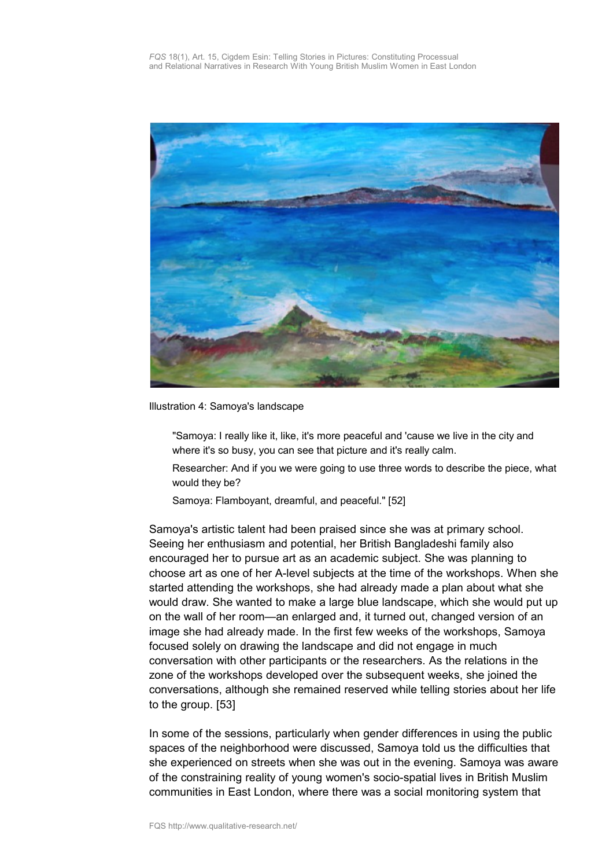

Illustration 4: Samoya's landscape

- "Samoya: I really like it, like, it's more peaceful and 'cause we live in the city and where it's so busy, you can see that picture and it's really calm.
- Researcher: And if you we were going to use three words to describe the piece, what would they be?
- Samoya: Flamboyant, dreamful, and peaceful." [52]

Samoya's artistic talent had been praised since she was at primary school. Seeing her enthusiasm and potential, her British Bangladeshi family also encouraged her to pursue art as an academic subject. She was planning to choose art as one of her A-level subjects at the time of the workshops. When she started attending the workshops, she had already made a plan about what she would draw. She wanted to make a large blue landscape, which she would put up on the wall of her room—an enlarged and, it turned out, changed version of an image she had already made. In the first few weeks of the workshops, Samoya focused solely on drawing the landscape and did not engage in much conversation with other participants or the researchers. As the relations in the zone of the workshops developed over the subsequent weeks, she joined the conversations, although she remained reserved while telling stories about her life to the group. [53]

In some of the sessions, particularly when gender differences in using the public spaces of the neighborhood were discussed, Samoya told us the difficulties that she experienced on streets when she was out in the evening. Samoya was aware of the constraining reality of young women's socio-spatial lives in British Muslim communities in East London, where there was a social monitoring system that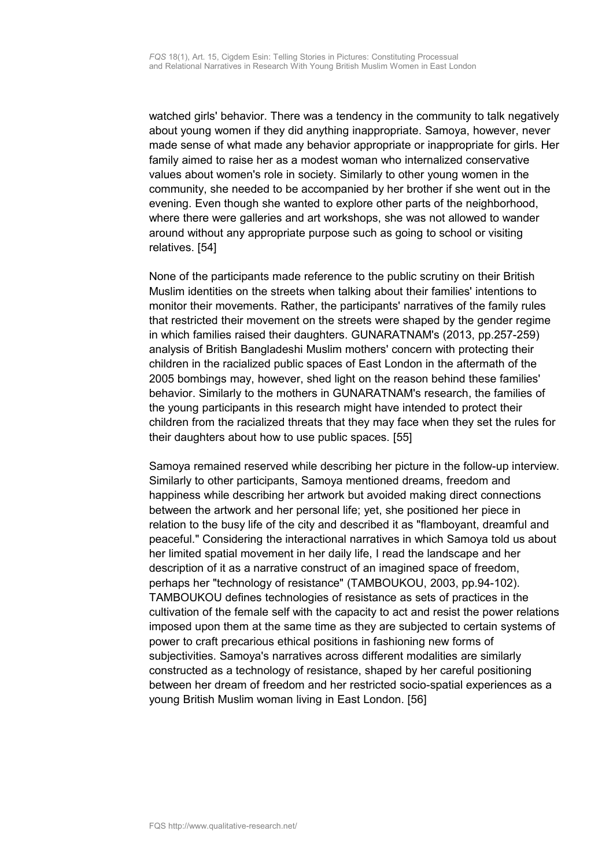watched girls' behavior. There was a tendency in the community to talk negatively about young women if they did anything inappropriate. Samoya, however, never made sense of what made any behavior appropriate or inappropriate for girls. Her family aimed to raise her as a modest woman who internalized conservative values about women's role in society. Similarly to other young women in the community, she needed to be accompanied by her brother if she went out in the evening. Even though she wanted to explore other parts of the neighborhood, where there were galleries and art workshops, she was not allowed to wander around without any appropriate purpose such as going to school or visiting relatives. [54]

None of the participants made reference to the public scrutiny on their British Muslim identities on the streets when talking about their families' intentions to monitor their movements. Rather, the participants' narratives of the family rules that restricted their movement on the streets were shaped by the gender regime in which families raised their daughters. GUNARATNAM's (2013, pp.257-259) analysis of British Bangladeshi Muslim mothers' concern with protecting their children in the racialized public spaces of East London in the aftermath of the 2005 bombings may, however, shed light on the reason behind these families' behavior. Similarly to the mothers in GUNARATNAM's research, the families of the young participants in this research might have intended to protect their children from the racialized threats that they may face when they set the rules for their daughters about how to use public spaces. [55]

Samoya remained reserved while describing her picture in the follow-up interview. Similarly to other participants, Samoya mentioned dreams, freedom and happiness while describing her artwork but avoided making direct connections between the artwork and her personal life; yet, she positioned her piece in relation to the busy life of the city and described it as "flamboyant, dreamful and peaceful." Considering the interactional narratives in which Samoya told us about her limited spatial movement in her daily life, I read the landscape and her description of it as a narrative construct of an imagined space of freedom, perhaps her "technology of resistance" (TAMBOUKOU, 2003, pp.94-102). TAMBOUKOU defines technologies of resistance as sets of practices in the cultivation of the female self with the capacity to act and resist the power relations imposed upon them at the same time as they are subjected to certain systems of power to craft precarious ethical positions in fashioning new forms of subjectivities. Samoya's narratives across different modalities are similarly constructed as a technology of resistance, shaped by her careful positioning between her dream of freedom and her restricted socio-spatial experiences as a young British Muslim woman living in East London. [56]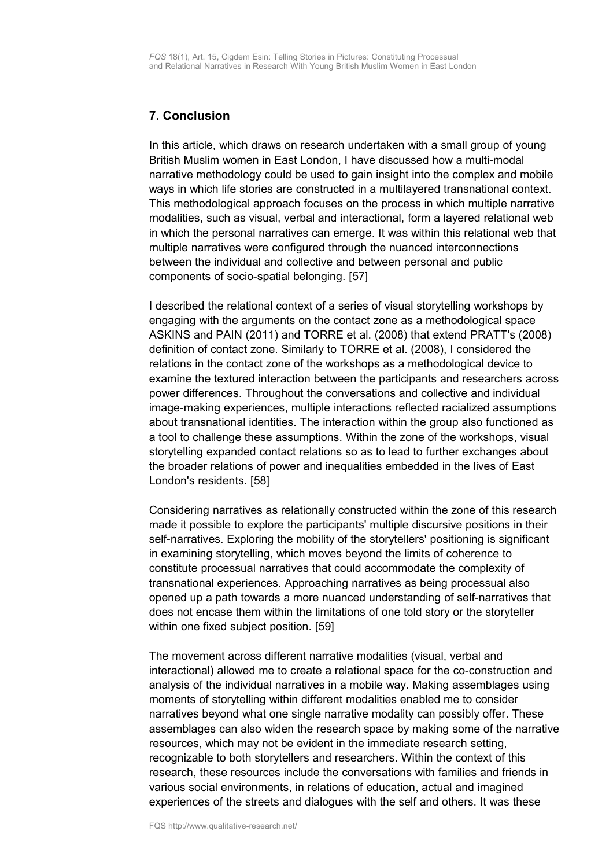# <span id="page-19-0"></span>**7. Conclusion**

In this article, which draws on research undertaken with a small group of young British Muslim women in East London, I have discussed how a multi-modal narrative methodology could be used to gain insight into the complex and mobile ways in which life stories are constructed in a multilayered transnational context. This methodological approach focuses on the process in which multiple narrative modalities, such as visual, verbal and interactional, form a layered relational web in which the personal narratives can emerge. It was within this relational web that multiple narratives were configured through the nuanced interconnections between the individual and collective and between personal and public components of socio-spatial belonging. [57]

I described the relational context of a series of visual storytelling workshops by engaging with the arguments on the contact zone as a methodological space ASKINS and PAIN (2011) and TORRE et al. (2008) that extend PRATT's (2008) definition of contact zone. Similarly to TORRE et al. (2008), I considered the relations in the contact zone of the workshops as a methodological device to examine the textured interaction between the participants and researchers across power differences. Throughout the conversations and collective and individual image-making experiences, multiple interactions reflected racialized assumptions about transnational identities. The interaction within the group also functioned as a tool to challenge these assumptions. Within the zone of the workshops, visual storytelling expanded contact relations so as to lead to further exchanges about the broader relations of power and inequalities embedded in the lives of East London's residents. [58]

Considering narratives as relationally constructed within the zone of this research made it possible to explore the participants' multiple discursive positions in their self-narratives. Exploring the mobility of the storytellers' positioning is significant in examining storytelling, which moves beyond the limits of coherence to constitute processual narratives that could accommodate the complexity of transnational experiences. Approaching narratives as being processual also opened up a path towards a more nuanced understanding of self-narratives that does not encase them within the limitations of one told story or the storyteller within one fixed subject position. [59]

The movement across different narrative modalities (visual, verbal and interactional) allowed me to create a relational space for the co-construction and analysis of the individual narratives in a mobile way. Making assemblages using moments of storytelling within different modalities enabled me to consider narratives beyond what one single narrative modality can possibly offer. These assemblages can also widen the research space by making some of the narrative resources, which may not be evident in the immediate research setting, recognizable to both storytellers and researchers. Within the context of this research, these resources include the conversations with families and friends in various social environments, in relations of education, actual and imagined experiences of the streets and dialogues with the self and others. It was these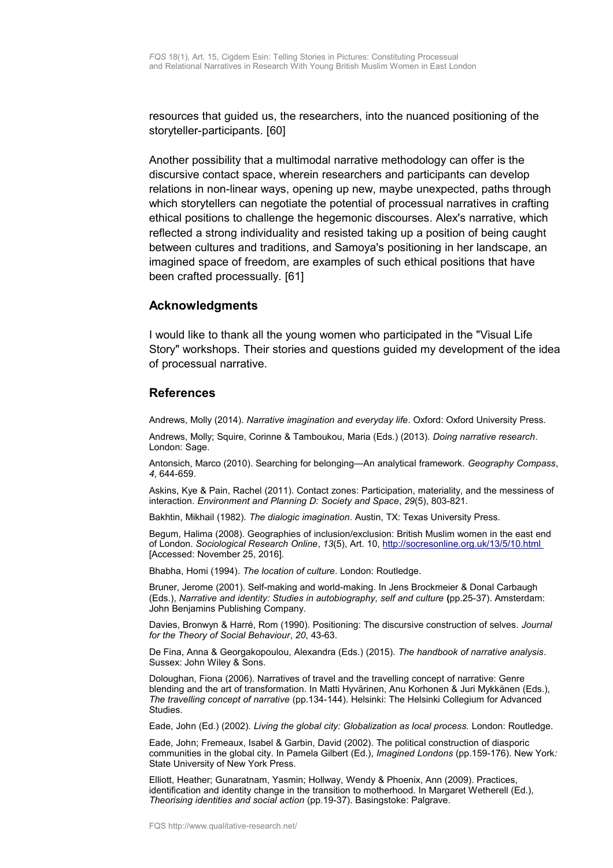resources that guided us, the researchers, into the nuanced positioning of the storyteller-participants. [60]

Another possibility that a multimodal narrative methodology can offer is the discursive contact space, wherein researchers and participants can develop relations in non-linear ways, opening up new, maybe unexpected, paths through which storytellers can negotiate the potential of processual narratives in crafting ethical positions to challenge the hegemonic discourses. Alex's narrative, which reflected a strong individuality and resisted taking up a position of being caught between cultures and traditions, and Samoya's positioning in her landscape, an imagined space of freedom, are examples of such ethical positions that have been crafted processually. [61]

## <span id="page-20-1"></span>**Acknowledgments**

I would like to thank all the young women who participated in the "Visual Life Story" workshops. Their stories and questions guided my development of the idea of processual narrative.

### <span id="page-20-0"></span>**References**

Andrews, Molly (2014). *Narrative imagination and everyday life*. Oxford: Oxford University Press.

Andrews, Molly; Squire, Corinne & Tamboukou, Maria (Eds.) (2013). *Doing narrative research*. London: Sage.

Antonsich, Marco (2010). Searching for belonging—An analytical framework. *Geography Compass*, *4*, 644-659.

Askins, Kye & Pain, Rachel (2011). Contact zones: Participation, materiality, and the messiness of interaction. *Environment and Planning D: Society and Space*, *29*(5), 803-821.

Bakhtin, Mikhail (1982). *The dialogic imagination*. Austin, TX: Texas University Press.

Begum, Halima (2008). Geographies of inclusion/exclusion: British Muslim women in the east end of London. *Sociological Research Online*, *13*(5), Art. 10,<http://socresonline.org.uk/13/5/10.html> [Accessed: November 25, 2016].

Bhabha, Homi (1994). *The location of culture*. London: Routledge.

Bruner, Jerome (2001). Self-making and world-making. In Jens Brockmeier & Donal Carbaugh (Eds.), *Narrative and identity: Studies in autobiography, self and culture* **(**pp.25-37). Amsterdam: John Benjamins Publishing Company.

Davies, Bronwyn & Harré, Rom (1990). Positioning: The discursive construction of selves. *Journal for the Theory of Social Behaviour*, *20*, 43-63.

De Fina, Anna & Georgakopoulou, Alexandra (Eds.) (2015). *The handbook of narrative analysis*. Sussex: John Wiley & Sons.

Doloughan, Fiona (2006). Narratives of travel and the travelling concept of narrative: Genre blending and the art of transformation. In Matti Hyvärinen, Anu Korhonen & Juri Mykkänen (Eds.), *The travelling concept of narrative* (pp.134-144). Helsinki: The Helsinki Collegium for Advanced Studies.

Eade, John (Ed.) (2002). *Living the global city: Globalization as local process.* London: Routledge.

Eade, John; Fremeaux, Isabel & Garbin, David (2002). The political construction of diasporic communities in the global city. In Pamela Gilbert (Ed.), *Imagined Londons* (pp.159-176)*.* New York*:* State University of New York Press.

Elliott, Heather; Gunaratnam, Yasmin; Hollway, Wendy & Phoenix, Ann (2009). Practices, identification and identity change in the transition to motherhood. In Margaret Wetherell (Ed.), *Theorising identities and social action* (pp.19-37). Basingstoke: Palgrave.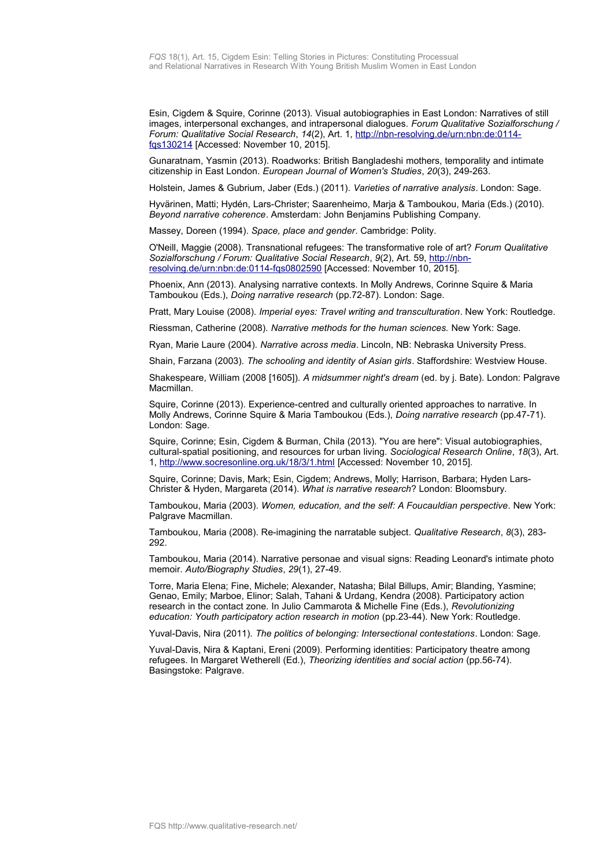Esin, Cigdem & Squire, Corinne (2013). Visual autobiographies in East London: Narratives of still images, interpersonal exchanges, and intrapersonal dialogues. *Forum Qualitative Sozialforschung / Forum: Qualitative Social Research*, *14*(2), Art. 1, [http://nbn-resolving.de/urn:nbn:de:0114](http://nbn-resolving.de/urn:nbn:de:0114-fqs130214) [fqs130214](http://nbn-resolving.de/urn:nbn:de:0114-fqs130214) [Accessed: November 10, 2015].

Gunaratnam, Yasmin (2013). Roadworks: British Bangladeshi mothers, temporality and intimate citizenship in East London. *European Journal of Women's Studies*, *20*(3), 249-263.

Holstein, James & Gubrium, Jaber (Eds.) (2011). *Varieties of narrative analysis*. London: Sage.

Hyvärinen, Matti; Hydén, Lars-Christer; Saarenheimo, Marja & Tamboukou, Maria (Eds.) (2010). *Beyond narrative coherence*. Amsterdam: John Benjamins Publishing Company.

Massey, Doreen (1994). *Space, place and gender*. Cambridge: Polity.

O'Neill, Maggie (2008). Transnational refugees: The transformative role of art? *Forum Qualitative Sozialforschung / Forum: Qualitative Social Research*, *9*(2), Art. 59, [http://nbn](http://nbn-resolving.de/urn:nbn:de:0114-fqs0802590)[resolving.de/urn:nbn:de:0114-fqs0802590](http://nbn-resolving.de/urn:nbn:de:0114-fqs0802590) [Accessed: November 10, 2015].

Phoenix, Ann (2013). Analysing narrative contexts. In Molly Andrews, Corinne Squire & Maria Tamboukou (Eds.), *Doing narrative research* (pp.72-87). London: Sage.

Pratt, Mary Louise (2008). *Imperial eyes: Travel writing and transculturation*. New York: Routledge.

Riessman, Catherine (2008). *Narrative methods for the human sciences.* New York: Sage.

Ryan, Marie Laure (2004). *Narrative across media*. Lincoln, NB: Nebraska University Press.

Shain, Farzana (2003). *The schooling and identity of Asian girls*. Staffordshire: Westview House.

Shakespeare, William (2008 [1605]). *A midsummer night's dream* (ed. by j. Bate). London: Palgrave Macmillan.

Squire, Corinne (2013). Experience-centred and culturally oriented approaches to narrative. In Molly Andrews, Corinne Squire & Maria Tamboukou (Eds.), *Doing narrative research* (pp.47-71). London: Sage.

Squire, Corinne; Esin, Cigdem & Burman, Chila (2013). "You are here": Visual autobiographies, cultural-spatial positioning, and resources for urban living. *Sociological Research Online*, *18*(3), Art. 1,<http://www.socresonline.org.uk/18/3/1.html>[Accessed: November 10, 2015].

Squire, Corinne; Davis, Mark; Esin, Cigdem; Andrews, Molly; Harrison, Barbara; Hyden Lars-Christer & Hyden, Margareta (2014). *What is narrative research*? London: Bloomsbury.

Tamboukou, Maria (2003). *Women, education, and the self: A Foucauldian perspective*. New York: Palgrave Macmillan.

Tamboukou, Maria (2008). Re-imagining the narratable subject. *Qualitative Research*, *8*(3), 283- 202.

Tamboukou, Maria (2014). Narrative personae and visual signs: Reading Leonard's intimate photo memoir. *Auto/Biography Studies*, *29*(1), 27-49.

Torre, Maria Elena; Fine, Michele; Alexander, Natasha; Bilal Billups, Amir; Blanding, Yasmine; Genao, Emily; Marboe, Elinor; Salah, Tahani & Urdang, Kendra (2008). Participatory action research in the contact zone. In Julio Cammarota & Michelle Fine (Eds.), *Revolutionizing education: Youth participatory action research in motion* (pp.23-44). New York: Routledge.

Yuval-Davis, Nira (2011). *The politics of belonging: Intersectional contestations*. London: Sage.

Yuval-Davis, Nira & Kaptani, Ereni (2009). Performing identities: Participatory theatre among refugees. In Margaret Wetherell (Ed.), *Theorizing identities and social action* (pp.56-74). Basingstoke: Palgrave.